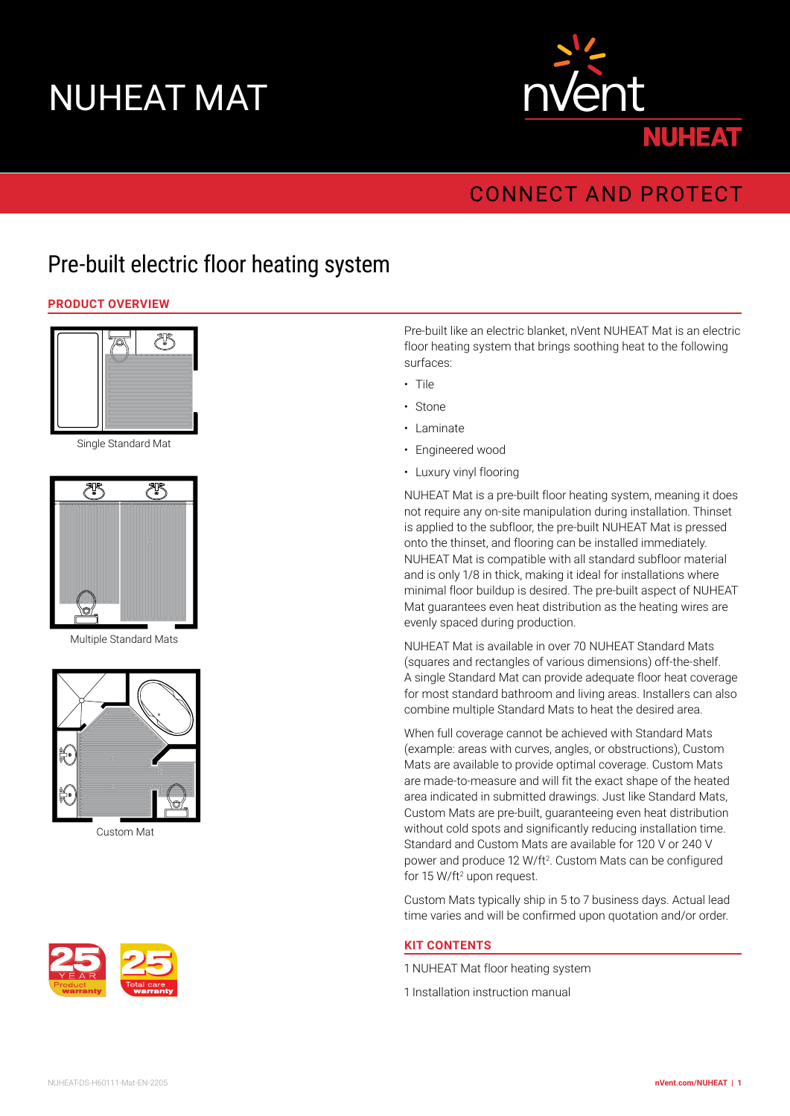# NUHEAT MAT



# **CONNECT AND PROTECT**

# Pre-built electric floor heating system

#### **PRODUCT OVERVIEW**



Single Standard Mat



Multiple Standard Mats



Custom Mat



Pre-built like an electric blanket, nVent NUHEAT Mat is an electric floor heating system that brings soothing heat to the following surfaces:

- Tile
- Stone
- Laminate
- Engineered wood
- Luxury vinyl flooring

NUHEAT Mat is a pre-built floor heating system, meaning it does not require any on-site manipulation during installation. Thinset is applied to the subfloor, the pre-built NUHEAT Mat is pressed onto the thinset, and flooring can be installed immediately. NUHEAT Mat is compatible with all standard subfloor material and is only 1/8 in thick, making it ideal for installations where minimal floor buildup is desired. The pre-built aspect of NUHEAT Mat guarantees even heat distribution as the heating wires are evenly spaced during production.

NUHEAT Mat is available in over 70 NUHEAT Standard Mats (squares and rectangles of various dimensions) off-the-shelf. A single Standard Mat can provide adequate floor heat coverage for most standard bathroom and living areas. Installers can also combine multiple Standard Mats to heat the desired area.

When full coverage cannot be achieved with Standard Mats (example: areas with curves, angles, or obstructions), Custom Mats are available to provide optimal coverage. Custom Mats are made-to-measure and will fit the exact shape of the heated area indicated in submitted drawings. Just like Standard Mats, Custom Mats are pre-built, guaranteeing even heat distribution without cold spots and significantly reducing installation time. Standard and Custom Mats are available for 120 V or 240 V power and produce 12 W/ft<sup>2</sup>. Custom Mats can be configured for 15 W/ft<sup>2</sup> upon request.

Custom Mats typically ship in 5 to 7 business days. Actual lead time varies and will be confirmed upon quotation and/or order.

#### **KIT CONTENTS**

- 1 NUHEAT Mat floor heating system
- 1 Installation instruction manual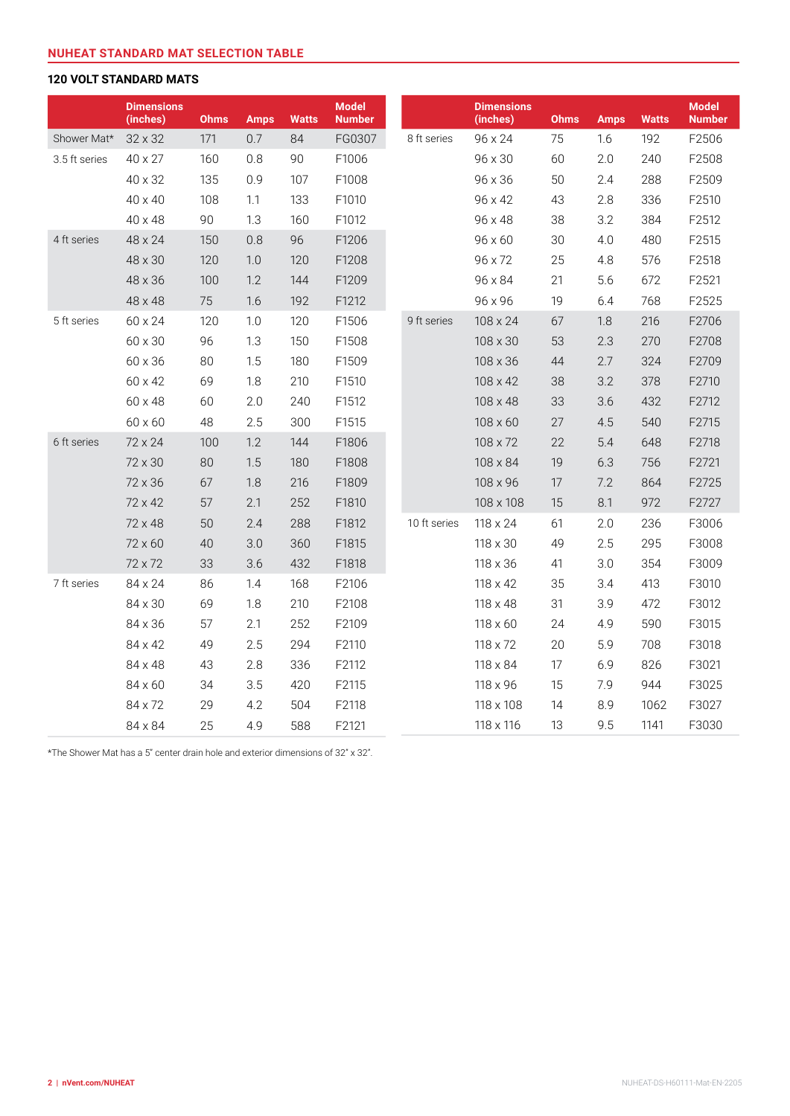#### **VOLT STANDARD MATS**

|               | <b>Dimensions</b><br>(inches) | <b>Ohms</b> | <b>Amps</b> | <b>Watts</b> | <b>Model</b><br><b>Number</b> |              | <b>Dimensions</b><br>(inches) | <b>Ohms</b> | <b>Amps</b> | <b>Watts</b> | <b>Model</b><br><b>Number</b> |
|---------------|-------------------------------|-------------|-------------|--------------|-------------------------------|--------------|-------------------------------|-------------|-------------|--------------|-------------------------------|
| Shower Mat*   | 32 x 32                       | 171         | 0.7         | 84           | FG0307                        | 8 ft series  | 96 x 24                       | 75          | 1.6         | 192          | F2506                         |
| 3.5 ft series | 40 x 27                       | 160         | 0.8         | 90           | F1006                         |              | 96 x 30                       | 60          | 2.0         | 240          | F2508                         |
|               | 40 x 32                       | 135         | 0.9         | 107          | F1008                         |              | 96 x 36                       | 50          | 2.4         | 288          | F2509                         |
|               | 40 x 40                       | 108         | 1.1         | 133          | F1010                         |              | 96 x 42                       | 43          | 2.8         | 336          | F2510                         |
|               | 40 x 48                       | 90          | 1.3         | 160          | F1012                         |              | 96 x 48                       | 38          | 3.2         | 384          | F2512                         |
| 4 ft series   | 48 x 24                       | 150         | 0.8         | 96           | F1206                         |              | 96 x 60                       | 30          | 4.0         | 480          | F2515                         |
|               | 48 x 30                       | 120         | 1.0         | 120          | F1208                         |              | 96 x 72                       | 25          | 4.8         | 576          | F2518                         |
|               | 48 x 36                       | 100         | 1.2         | 144          | F1209                         |              | 96 x 84                       | 21          | 5.6         | 672          | F2521                         |
|               | 48 x 48                       | 75          | 1.6         | 192          | F1212                         |              | 96 x 96                       | 19          | 6.4         | 768          | F2525                         |
| 5 ft series   | 60 x 24                       | 120         | 1.0         | 120          | F1506                         | 9 ft series  | 108 x 24                      | 67          | 1.8         | 216          | F2706                         |
|               | 60 x 30                       | 96          | 1.3         | 150          | F1508                         |              | 108 x 30                      | 53          | 2.3         | 270          | F2708                         |
|               | 60 x 36                       | 80          | 1.5         | 180          | F1509                         |              | 108 x 36                      | 44          | 2.7         | 324          | F2709                         |
|               | 60 x 42                       | 69          | 1.8         | 210          | F1510                         |              | 108 x 42                      | 38          | 3.2         | 378          | F2710                         |
|               | 60 x 48                       | 60          | 2.0         | 240          | F1512                         |              | 108 x 48                      | 33          | 3.6         | 432          | F2712                         |
|               | 60 x 60                       | 48          | 2.5         | 300          | F1515                         |              | 108 x 60                      | 27          | 4.5         | 540          | F2715                         |
| 6 ft series   | 72 x 24                       | 100         | 1.2         | 144          | F1806                         |              | 108 x 72                      | 22          | 5.4         | 648          | F2718                         |
|               | 72 x 30                       | 80          | 1.5         | 180          | F1808                         |              | 108 x 84                      | 19          | 6.3         | 756          | F2721                         |
|               | 72 x 36                       | 67          | 1.8         | 216          | F1809                         |              | 108 x 96                      | 17          | 7.2         | 864          | F2725                         |
|               | 72 x 42                       | 57          | 2.1         | 252          | F1810                         |              | 108 x 108                     | 15          | 8.1         | 972          | F2727                         |
|               | 72 x 48                       | 50          | 2.4         | 288          | F1812                         | 10 ft series | 118 x 24                      | 61          | 2.0         | 236          | F3006                         |
|               | 72 x 60                       | 40          | 3.0         | 360          | F1815                         |              | 118 x 30                      | 49          | 2.5         | 295          | F3008                         |
|               | 72 x 72                       | 33          | 3.6         | 432          | F1818                         |              | 118 x 36                      | 41          | 3.0         | 354          | F3009                         |
| 7 ft series   | 84 x 24                       | 86          | 1.4         | 168          | F2106                         |              | 118 x 42                      | 35          | 3.4         | 413          | F3010                         |
|               | 84 x 30                       | 69          | 1.8         | 210          | F2108                         |              | 118 x 48                      | 31          | 3.9         | 472          | F3012                         |
|               | 84 x 36                       | 57          | 2.1         | 252          | F2109                         |              | 118 x 60                      | 24          | 4.9         | 590          | F3015                         |
|               | 84 x 42                       | 49          | 2.5         | 294          | F2110                         |              | 118 x 72                      | 20          | 5.9         | 708          | F3018                         |
|               | 84 x 48                       | 43          | 2.8         | 336          | F2112                         |              | 118 x 84                      | 17          | 6.9         | 826          | F3021                         |
|               | 84 x 60                       | 34          | 3.5         | 420          | F2115                         |              | 118 x 96                      | 15          | 7.9         | 944          | F3025                         |
|               | 84 x 72                       | 29          | 4.2         | 504          | F2118                         |              | 118 x 108                     | 14          | 8.9         | 1062         | F3027                         |
|               | 84 x 84                       | 25          | 4.9         | 588          | F2121                         |              | 118 x 116                     | 13          | 9.5         | 1141         | F3030                         |

\*The Shower Mat has a 5" center drain hole and exterior dimensions of 32" x 32".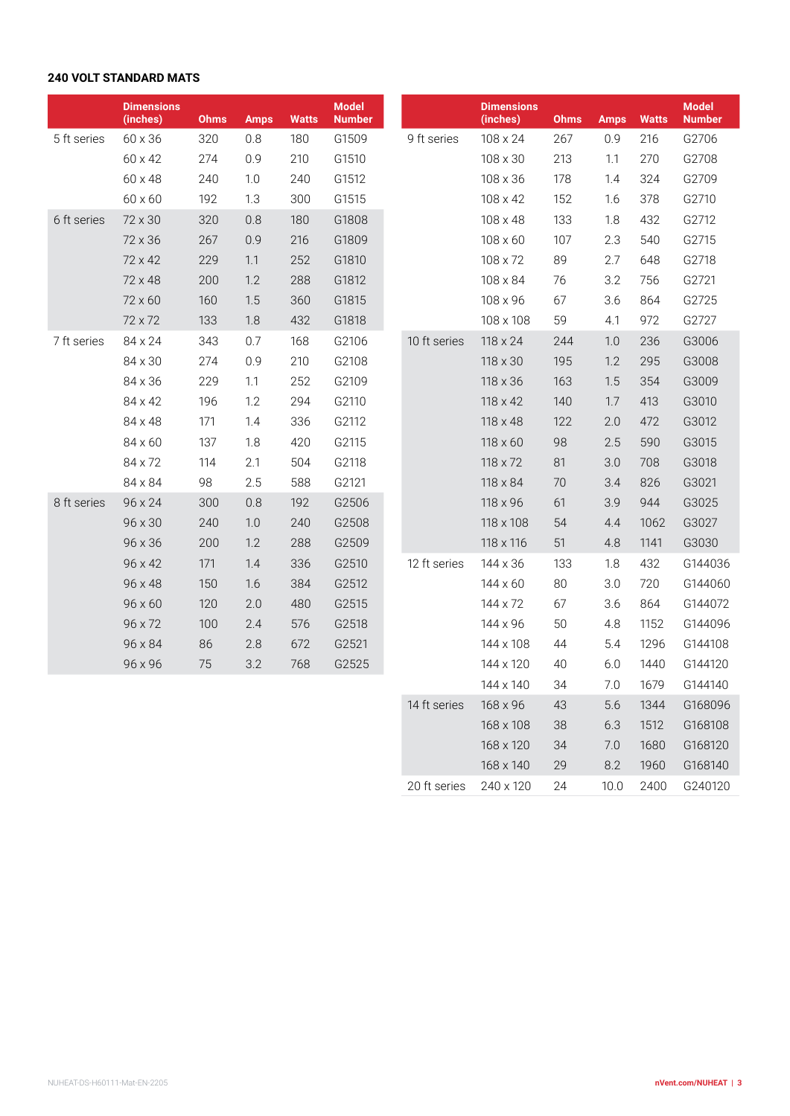#### **VOLT STANDARD MATS**

|             | <b>Dimensions</b><br>(inches) | <b>Ohms</b> | <b>Amps</b> | <b>Watts</b> | <b>Model</b><br><b>Number</b> |             |                 | <b>Dimensions</b><br>(inches) | <b>Ohms</b> | <b>Amps</b> | <b>Watts</b> | <b>Model</b><br><b>Number</b> |
|-------------|-------------------------------|-------------|-------------|--------------|-------------------------------|-------------|-----------------|-------------------------------|-------------|-------------|--------------|-------------------------------|
| 5 ft series | 60 x 36                       | 320         | 0.8         | 180          | G1509                         | 9 ft series |                 | 108 x 24                      | 267         | 0.9         | 216          | G2706                         |
|             | 60 x 42                       | 274         | 0.9         | 210          | G1510                         |             |                 | 108 x 30                      | 213         | 1.1         | 270          | G2708                         |
|             | 60 x 48                       | 240         | 1.0         | 240          | G1512                         |             |                 | 108 x 36                      | 178         | 1.4         | 324          | G2709                         |
|             | 60 x 60                       | 192         | 1.3         | 300          | G1515                         |             |                 | 108 x 42                      | 152         | 1.6         | 378          | G2710                         |
| 6 ft series | 72 x 30                       | 320         | 0.8         | 180          | G1808                         |             |                 | 108 x 48                      | 133         | 1.8         | 432          | G2712                         |
|             | 72 x 36                       | 267         | 0.9         | 216          | G1809                         |             |                 | 108 x 60                      | 107         | 2.3         | 540          | G2715                         |
|             | 72 x 42                       | 229         | 1.1         | 252          | G1810                         |             |                 | 108 x 72                      | 89          | 2.7         | 648          | G2718                         |
|             | 72 x 48                       | 200         | 1.2         | 288          | G1812                         |             |                 | 108 x 84                      | 76          | 3.2         | 756          | G2721                         |
|             | 72 x 60                       | 160         | 1.5         | 360          | G1815                         |             |                 | 108 x 96                      | 67          | 3.6         | 864          | G2725                         |
|             | 72 x 72                       | 133         | 1.8         | 432          | G1818                         |             |                 | 108 x 108                     | 59          | 4.1         | 972          | G2727                         |
| 7 ft series | 84 x 24                       | 343         | 0.7         | 168          | G2106                         |             | 10 ft series    | 118 x 24                      | 244         | 1.0         | 236          | G3006                         |
|             | 84 x 30                       | 274         | 0.9         | 210          | G2108                         |             |                 | 118 x 30                      | 195         | 1.2         | 295          | G3008                         |
|             | 84 x 36                       | 229         | 1.1         | 252          | G2109                         |             |                 | 118 x 36                      | 163         | 1.5         | 354          | G3009                         |
|             | 84 x 42                       | 196         | 1.2         | 294          | G2110                         |             |                 | 118 x 42                      | 140         | 1.7         | 413          | G3010                         |
|             | 84 x 48                       | 171         | 1.4         | 336          | G2112                         |             |                 | 118 x 48                      | 122         | 2.0         | 472          | G3012                         |
|             | 84 x 60                       | 137         | 1.8         | 420          | G2115                         |             |                 | 118 x 60                      | 98          | 2.5         | 590          | G3015                         |
|             | 84 x 72                       | 114         | 2.1         | 504          | G2118                         |             |                 | 118 x 72                      | 81          | 3.0         | 708          | G3018                         |
|             | 84 x 84                       | 98          | 2.5         | 588          | G2121                         |             |                 | 118 x 84                      | 70          | 3.4         | 826          | G3021                         |
| 8 ft series | 96 x 24                       | 300         | 0.8         | 192          | G2506                         |             |                 | 118 x 96                      | 61          | 3.9         | 944          | G3025                         |
|             | 96 x 30                       | 240         | 1.0         | 240          | G2508                         |             |                 | 118 x 108                     | 54          | 4.4         | 1062         | G3027                         |
|             | 96 x 36                       | 200         | 1.2         | 288          | G2509                         |             | 118 x 116       | 51                            | 4.8         | 1141        | G3030        |                               |
|             | 96 x 42                       | 171         | 1.4         | 336          | G2510                         |             | 12 ft series    | 144 x 36                      | 133         | 1.8         | 432          | G144036                       |
|             | 96 x 48                       | 150         | 1.6         | 384          | G2512                         |             | $144 \times 60$ | 80                            | 3.0         | 720         | G144060      |                               |
|             | 96 x 60                       | 120         | 2.0         | 480          | G2515                         |             |                 | 144 x 72                      | 67          | 3.6         | 864          | G144072                       |
|             | 96 x 72                       | 100         | 2.4         | 576          | G2518                         |             | 144 x 96        | 50                            | 4.8         | 1152        | G144096      |                               |
|             | 96 x 84                       | 86          | 2.8         | 672          | G2521                         |             | 144 x 108       | 44                            | 5.4         | 1296        | G144108      |                               |
|             | 96 x 96                       | 75          | 3.2         | 768          | G2525                         |             |                 | 144 x 120                     | 40          | 6.0         | 1440         | G144120                       |
|             |                               |             |             |              |                               |             |                 | 144 x 140                     | 34          | 7.0         | 1679         | G144140                       |
|             |                               |             |             |              |                               |             | 14 ft series    | 168 x 96                      | 43          | 5.6         | 1344         | G168096                       |
|             |                               |             |             |              |                               |             |                 | 168 x 108                     | 38          | 6.3         | 1512         | G168108                       |
|             |                               |             |             |              |                               |             |                 | 168 x 120                     | 34          | 7.0         | 1680         | G168120                       |

x 140 29 8.2 1960 G168140

ft series 240 x 120 24 10.0 2400 G240120